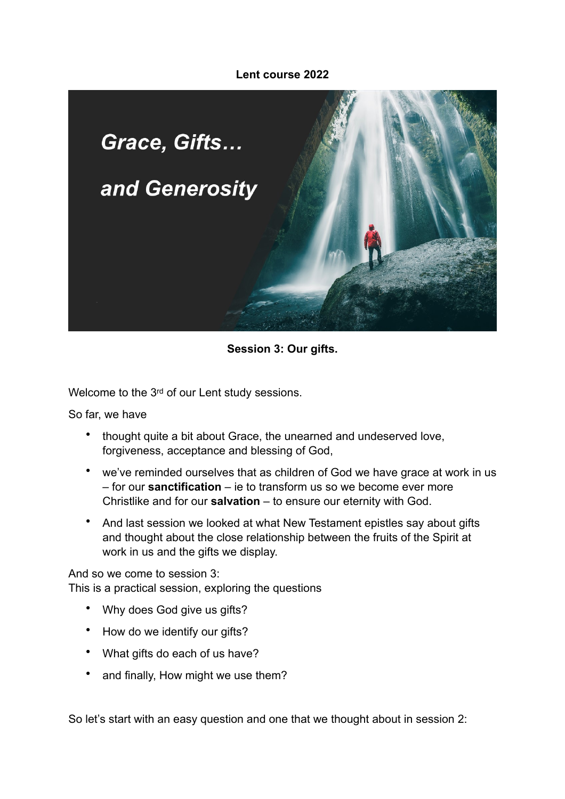### **Lent course 2022**



### **Session 3: Our gifts.**

Welcome to the 3rd of our Lent study sessions.

So far, we have

- thought quite a bit about Grace, the unearned and undeserved love, forgiveness, acceptance and blessing of God,
- we've reminded ourselves that as children of God we have grace at work in us – for our **sanctification** – ie to transform us so we become ever more Christlike and for our **salvation** – to ensure our eternity with God.
- And last session we looked at what New Testament epistles say about gifts and thought about the close relationship between the fruits of the Spirit at work in us and the gifts we display.

And so we come to session 3: This is a practical session, exploring the questions

- Why does God give us gifts?
- How do we identify our gifts?
- What gifts do each of us have?
- and finally, How might we use them?

So let's start with an easy question and one that we thought about in session 2: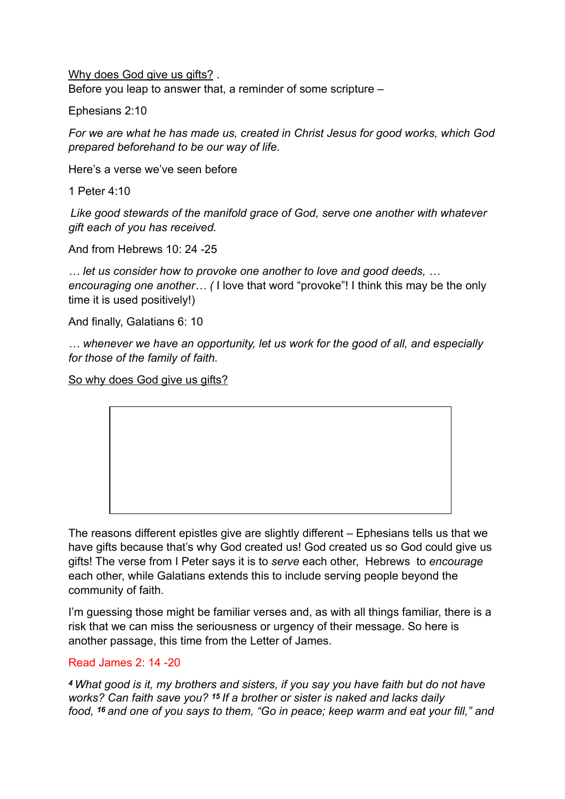Why does God give us gifts? Before you leap to answer that, a reminder of some scripture –

Ephesians 2:10

*For we are what he has made us, created in Christ Jesus for good works, which God prepared beforehand to be our way of life.*

Here's a verse we've seen before

1 Peter 4:10

*Like good stewards of the manifold grace of God, serve one another with whatever gift each of you has received.*

And from Hebrews 10: 24 -25

*… let us consider how to provoke one another to love and good deeds, … encouraging one another… (* I love that word "provoke"! I think this may be the only time it is used positively!)

And finally, Galatians 6: 10

*… whenever we have an opportunity, let us work for the good of all, and especially for those of the family of faith.*

So why does God give us gifts?

The reasons different epistles give are slightly different – Ephesians tells us that we have gifts because that's why God created us! God created us so God could give us gifts! The verse from I Peter says it is to *serve* each other, Hebrews to *encourage* each other, while Galatians extends this to include serving people beyond the community of faith.

I'm guessing those might be familiar verses and, as with all things familiar, there is a risk that we can miss the seriousness or urgency of their message. So here is another passage, this time from the Letter of James.

### Read James 2: 14 -20

*<sup>4</sup>What good is it, my brothers and sisters, if you say you have faith but do not have works? Can faith save you? 15 If a brother or sister is naked and lacks daily food, 16 and one of you says to them, "Go in peace; keep warm and eat your fill," and*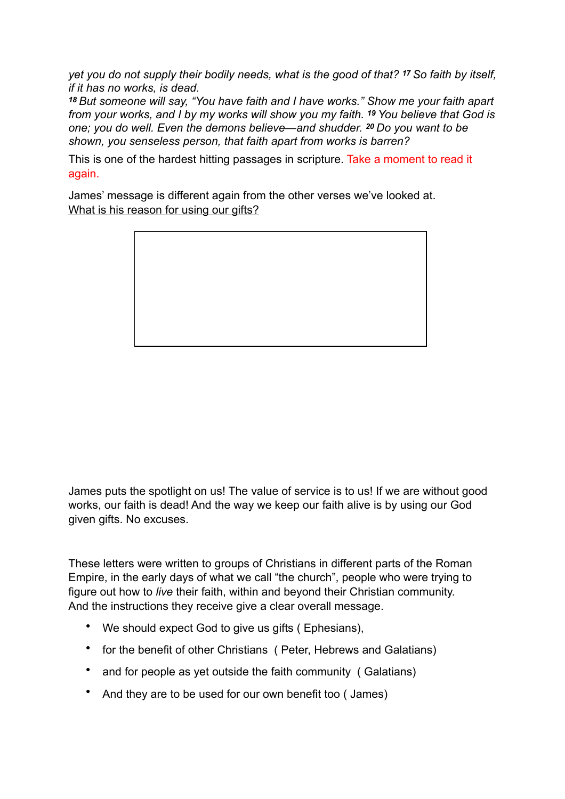*yet you do not supply their bodily needs, what is the good of that? 17 So faith by itself, if it has no works, is dead.* 

*<sup>18</sup>But someone will say, "You have faith and I have works." Show me your faith apart from your works, and I by my works will show you my faith. 19 You believe that God is one; you do well. Even the demons believe—and shudder. 20 Do you want to be shown, you senseless person, that faith apart from works is barren?*

This is one of the hardest hitting passages in scripture. Take a moment to read it again.

James' message is different again from the other verses we've looked at. What is his reason for using our gifts?



James puts the spotlight on us! The value of service is to us! If we are without good works, our faith is dead! And the way we keep our faith alive is by using our God given gifts. No excuses.

These letters were written to groups of Christians in different parts of the Roman Empire, in the early days of what we call "the church", people who were trying to figure out how to *live* their faith, within and beyond their Christian community. And the instructions they receive give a clear overall message.

- We should expect God to give us gifts ( Ephesians),
- for the benefit of other Christians ( Peter, Hebrews and Galatians)
- and for people as yet outside the faith community (Galatians)
- And they are to be used for our own benefit too ( James)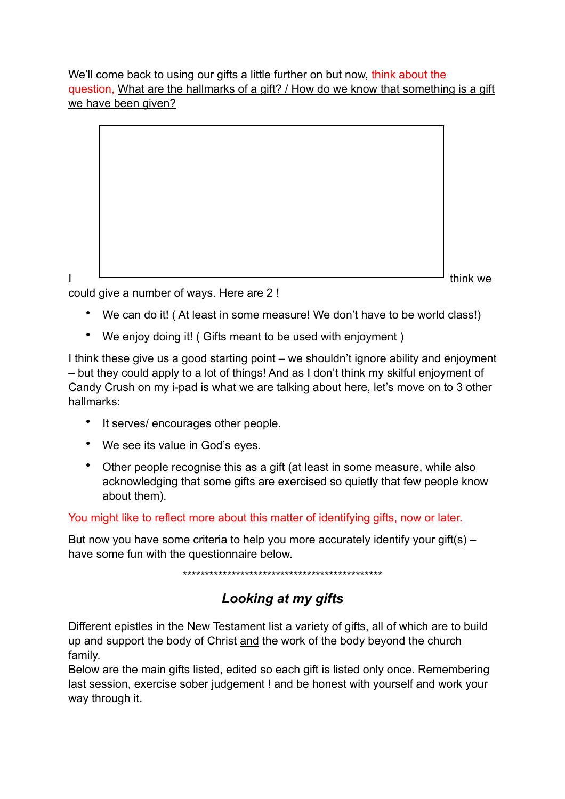We'll come back to using our gifts a little further on but now, think about the question, What are the hallmarks of a gift? / How do we know that something is a gift we have been given?

| think we |  |
|----------|--|

could give a number of ways. Here are 2 !

- We can do it! ( At least in some measure! We don't have to be world class!)
- We enjoy doing it! ( Gifts meant to be used with enjoyment )

I think these give us a good starting point – we shouldn't ignore ability and enjoyment – but they could apply to a lot of things! And as I don't think my skilful enjoyment of Candy Crush on my i-pad is what we are talking about here, let's move on to 3 other hallmarks:

- It serves/ encourages other people.
- We see its value in God's eyes.
- Other people recognise this as a gift (at least in some measure, while also acknowledging that some gifts are exercised so quietly that few people know about them).

You might like to reflect more about this matter of identifying gifts, now or later.

But now you have some criteria to help you more accurately identify your gift(s) – have some fun with the questionnaire below.

\*\*\*\*\*\*\*\*\*\*\*\*\*\*\*\*\*\*\*\*\*\*\*\*\*\*\*\*\*\*\*\*\*\*\*\*\*\*\*\*\*\*\*\*\*

# *Looking at my gifts*

Different epistles in the New Testament list a variety of gifts, all of which are to build up and support the body of Christ and the work of the body beyond the church family.

Below are the main gifts listed, edited so each gift is listed only once. Remembering last session, exercise sober judgement ! and be honest with yourself and work your way through it.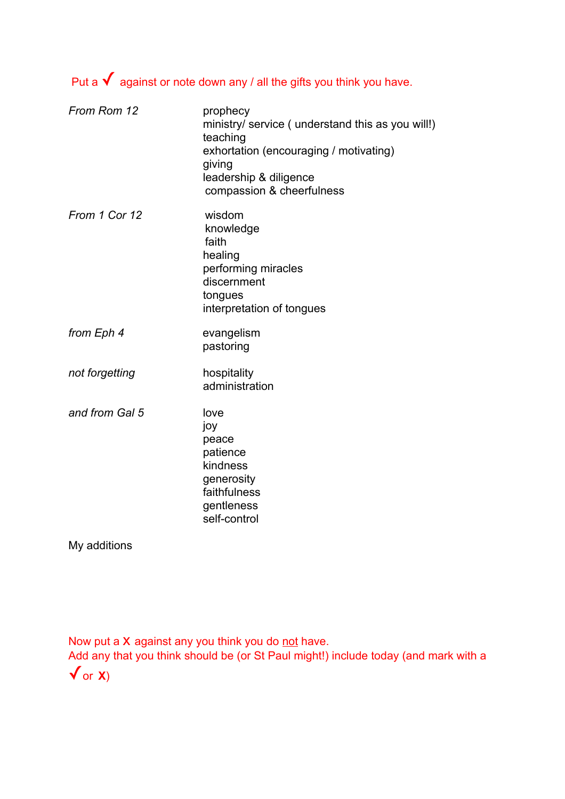# Put a  $\checkmark$  against or note down any / all the gifts you think you have.

| prophecy<br>ministry/ service (understand this as you will!)<br>teaching<br>exhortation (encouraging / motivating)<br>giving<br>leadership & diligence<br>compassion & cheerfulness |
|-------------------------------------------------------------------------------------------------------------------------------------------------------------------------------------|
| wisdom<br>knowledge<br>faith<br>healing<br>performing miracles<br>discernment<br>tongues<br>interpretation of tongues                                                               |
| evangelism<br>pastoring                                                                                                                                                             |
| hospitality<br>administration                                                                                                                                                       |
| love<br>joy<br>peace<br>patience<br>kindness<br>generosity<br>faithfulness<br>gentleness<br>self-control                                                                            |
|                                                                                                                                                                                     |

My additions

Now put a X against any you think you do not have.

Add any that you think should be (or St Paul might!) include today (and mark with a  $\sqrt{or X}$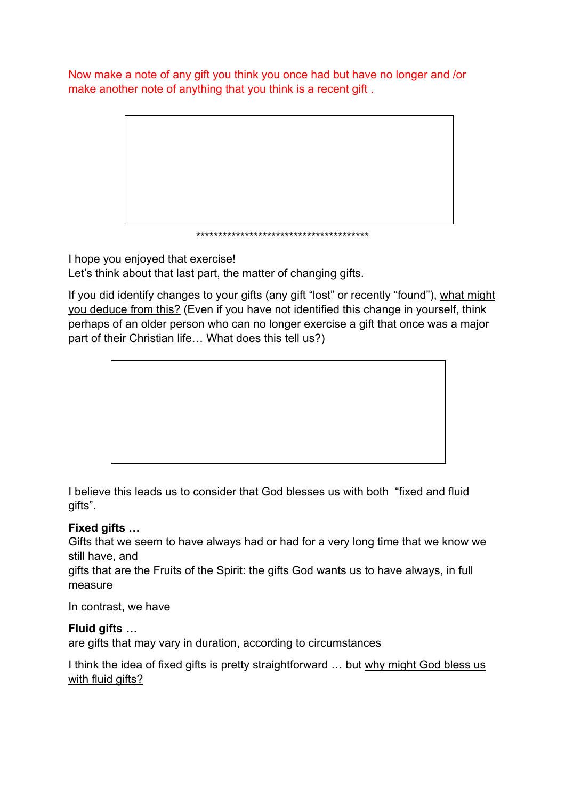Now make a note of any gift you think you once had but have no longer and /or make another note of anything that you think is a recent gift .



I hope you enjoyed that exercise!

Let's think about that last part, the matter of changing gifts.

If you did identify changes to your gifts (any gift "lost" or recently "found"), what might you deduce from this? (Even if you have not identified this change in yourself, think perhaps of an older person who can no longer exercise a gift that once was a major part of their Christian life… What does this tell us?)



I believe this leads us to consider that God blesses us with both "fixed and fluid gifts".

## **Fixed gifts …**

Gifts that we seem to have always had or had for a very long time that we know we still have, and

gifts that are the Fruits of the Spirit: the gifts God wants us to have always, in full measure

In contrast, we have

## **Fluid gifts …**

are gifts that may vary in duration, according to circumstances

I think the idea of fixed gifts is pretty straightforward ... but why might God bless us with fluid gifts?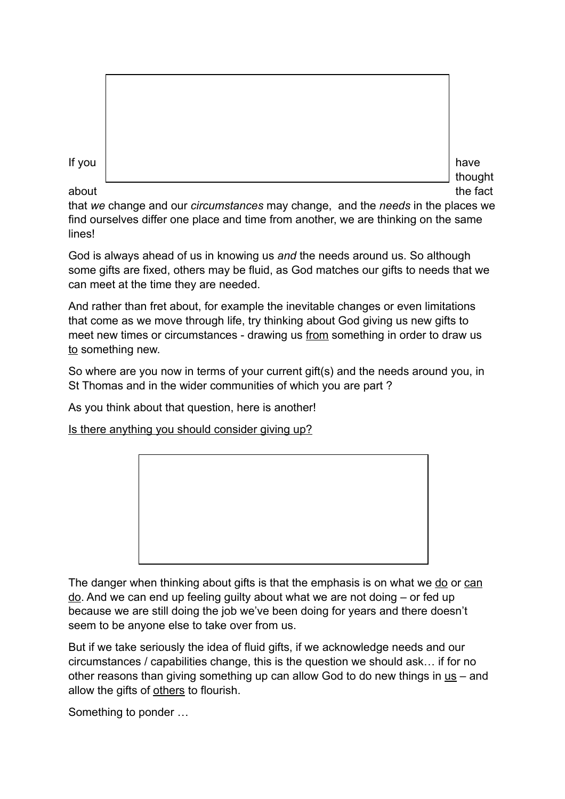| If you<br>have |
|----------------|
|----------------|

about the fact that the fact the fact that  $\mathcal{L}$  is the fact the fact the fact the fact that  $\mathcal{L}$ 

thought

that *we* change and our *circumstances* may change, and the *needs* in the places we find ourselves differ one place and time from another, we are thinking on the same lines!

God is always ahead of us in knowing us *and* the needs around us. So although some gifts are fixed, others may be fluid, as God matches our gifts to needs that we can meet at the time they are needed.

And rather than fret about, for example the inevitable changes or even limitations that come as we move through life, try thinking about God giving us new gifts to meet new times or circumstances - drawing us from something in order to draw us to something new.

So where are you now in terms of your current gift(s) and the needs around you, in St Thomas and in the wider communities of which you are part ?

As you think about that question, here is another!

Is there anything you should consider giving up?



The danger when thinking about gifts is that the emphasis is on what we do or can do. And we can end up feeling guilty about what we are not doing – or fed up because we are still doing the job we've been doing for years and there doesn't seem to be anyone else to take over from us.

But if we take seriously the idea of fluid gifts, if we acknowledge needs and our circumstances / capabilities change, this is the question we should ask… if for no other reasons than giving something up can allow God to do new things in  $us – and$ </u> allow the gifts of others to flourish.

Something to ponder …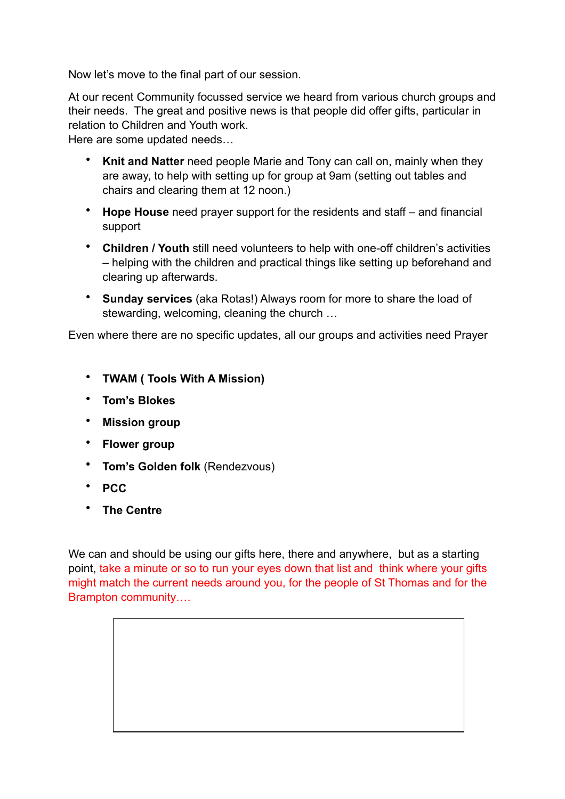Now let's move to the final part of our session.

At our recent Community focussed service we heard from various church groups and their needs. The great and positive news is that people did offer gifts, particular in relation to Children and Youth work.

Here are some updated needs…

- **Knit and Natter** need people Marie and Tony can call on, mainly when they are away, to help with setting up for group at 9am (setting out tables and chairs and clearing them at 12 noon.)
- **Hope House** need prayer support for the residents and staff and financial support
- **Children / Youth** still need volunteers to help with one-off children's activities – helping with the children and practical things like setting up beforehand and clearing up afterwards.
- **Sunday services** (aka Rotas!) Always room for more to share the load of stewarding, welcoming, cleaning the church …

Even where there are no specific updates, all our groups and activities need Prayer

- **TWAM ( Tools With A Mission)**
- **Tom's Blokes**
- **Mission group**
- **Flower group**
- **Tom's Golden folk** (Rendezvous)
- **PCC**
- **The Centre**

We can and should be using our gifts here, there and anywhere, but as a starting point, take a minute or so to run your eyes down that list and think where your gifts might match the current needs around you, for the people of St Thomas and for the Brampton community….